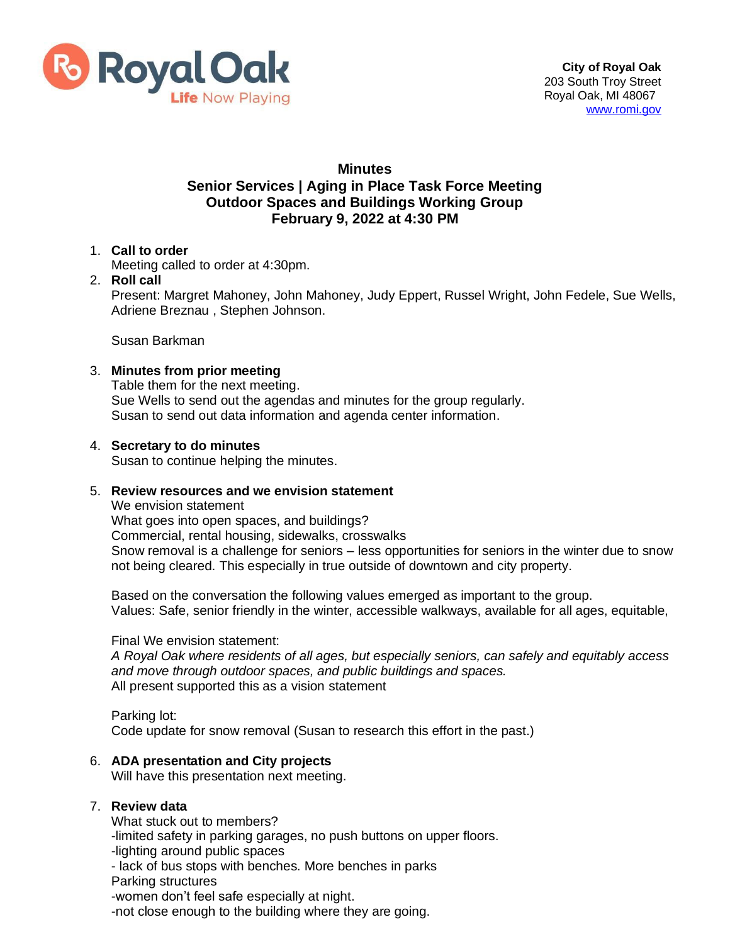

# **Minutes**

### **Senior Services | Aging in Place Task Force Meeting Outdoor Spaces and Buildings Working Group February 9, 2022 at 4:30 PM**

## 1. **Call to order**

Meeting called to order at 4:30pm.

# 2. **Roll call**

Present: Margret Mahoney, John Mahoney, Judy Eppert, Russel Wright, John Fedele, Sue Wells, Adriene Breznau , Stephen Johnson.

Susan Barkman

## 3. **Minutes from prior meeting**

Table them for the next meeting. Sue Wells to send out the agendas and minutes for the group regularly. Susan to send out data information and agenda center information.

#### 4. **Secretary to do minutes**

Susan to continue helping the minutes.

#### 5. **Review resources and we envision statement**

We envision statement

What goes into open spaces, and buildings? Commercial, rental housing, sidewalks, crosswalks Snow removal is a challenge for seniors – less opportunities for seniors in the winter due to snow not being cleared. This especially in true outside of downtown and city property.

Based on the conversation the following values emerged as important to the group. Values: Safe, senior friendly in the winter, accessible walkways, available for all ages, equitable,

#### Final We envision statement:

*A Royal Oak where residents of all ages, but especially seniors, can safely and equitably access and move through outdoor spaces, and public buildings and spaces.* All present supported this as a vision statement

Parking lot: Code update for snow removal (Susan to research this effort in the past.)

#### 6. **ADA presentation and City projects**

Will have this presentation next meeting.

## 7. **Review data**

What stuck out to members?

-limited safety in parking garages, no push buttons on upper floors.

-lighting around public spaces

- lack of bus stops with benches. More benches in parks

Parking structures

-women don't feel safe especially at night.

-not close enough to the building where they are going.